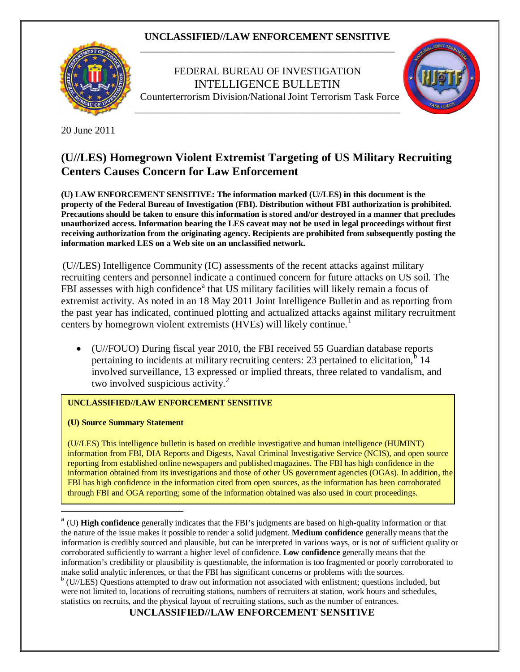

 FEDERAL BUREAU OF INVESTIGATION INTELLIGENCE BULLETIN Counterterrorism Division/National Joint Terrorism Task Force



20 June 2011

# **(U//LES) Homegrown Violent Extremist Targeting of US Military Recruiting Centers Causes Concern for Law Enforcement**

**(U) LAW ENFORCEMENT SENSITIVE: The information marked (U//LES) in this document is the property of the Federal Bureau of Investigation (FBI). Distribution without FBI authorization is prohibited. Precautions should be taken to ensure this information is stored and/or destroyed in a manner that precludes unauthorized access. Information bearing the LES caveat may not be used in legal proceedings without first receiving authorization from the originating agency. Recipients are prohibited from subsequently posting the information marked LES on a Web site on an unclassified network.**

(U//LES) Intelligence Community (IC) assessments of the recent attacks against military recruiting centers and personnel indicate a continued concern for future attacks on US soil. The FBI [a](#page-0-0)ssesses with high confidence<sup>a</sup> that US military facilities will likely remain a focus of extremist activity. As noted in an 18 May 2011 Joint Intelligence Bulletin and as reporting from the past year has indicated, continued plotting and actualized attacks against military recruitment centers by homegrown violent extremists (HVEs) will likely continue.<sup>[1](#page-3-0)</sup>

• (U//FOUO) During fiscal year 2010, the FBI received 55 Guardian database reports pertaining to incidents at military recruiting centers: 23 pertained to elicitation,<sup>[b](#page-0-1)</sup> 14 involved surveillance, 13 expressed or implied threats, three related to vandalism, and two involved suspicious activity. $2^2$ 

#### **UNCLASSIFIED//LAW ENFORCEMENT SENSITIVE**

**(U) Source Summary Statement**

 $\overline{a}$ 

(U//LES) This intelligence bulletin is based on credible investigative and human intelligence (HUMINT) information from FBI, DIA Reports and Digests, Naval Criminal Investigative Service (NCIS), and open source reporting from established online newspapers and published magazines. The FBI has high confidence in the information obtained from its investigations and those of other US government agencies (OGAs). In addition, the FBI has high confidence in the information cited from open sources, as the information has been corroborated through FBI and OGA reporting; some of the information obtained was also used in court proceedings.

**UNCLASSIFIED//LAW ENFORCEMENT SENSITIVE**

<span id="page-0-0"></span><sup>&</sup>lt;sup>a</sup> (U) **High confidence** generally indicates that the FBI's judgments are based on high-quality information or that the nature of the issue makes it possible to render a solid judgment. **Medium confidence** generally means that the information is credibly sourced and plausible, but can be interpreted in various ways, or is not of sufficient quality or corroborated sufficiently to warrant a higher level of confidence. **Low confidence** generally means that the information's credibility or plausibility is questionable, the information is too fragmented or poorly corroborated to make solid analytic inferences, or that the FBI has significant concerns or problems with the sources.

<span id="page-0-1"></span><sup>&</sup>lt;sup>b</sup> (U//LES) Questions attempted to draw out information not associated with enlistment; questions included, but were not limited to, locations of recruiting stations, numbers of recruiters at station, work hours and schedules, statistics on recruits, and the physical layout of recruiting stations, such as the number of entrances.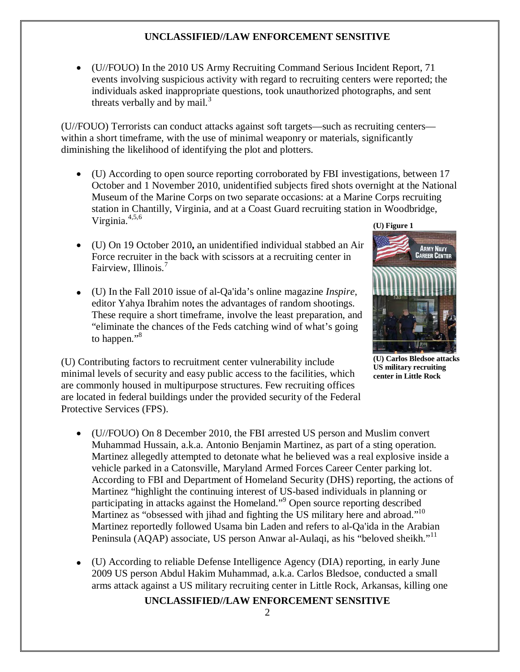• (U//FOUO) In the 2010 US Army Recruiting Command Serious Incident Report, 71 events involving suspicious activity with regard to recruiting centers were reported; the individuals asked inappropriate questions, took unauthorized photographs, and sent threats verbally and by mail. $3$ 

(U//FOUO) Terrorists can conduct attacks against soft targets—such as recruiting centers within a short timeframe, with the use of minimal weaponry or materials, significantly diminishing the likelihood of identifying the plot and plotters.

- **(U) Figure 1** • (U) According to open source reporting corroborated by FBI investigations, between 17 October and 1 November 2010, unidentified subjects fired shots overnight at the National Museum of the Marine Corps on two separate occasions: at a Marine Corps recruiting station in Chantilly, Virginia, and at a Coast Guard recruiting station in Woodbridge, Virginia. 4,5,6
- (U) On 19 October 2010**,** an unidentified individual stabbed an Air Force recruiter in the back with scissors at a recruiting center in Fairview, Illinois.<sup>7</sup>
- (U) In the Fall 2010 issue of al-Qa'ida's online magazine *Inspire*, editor Yahya Ibrahim notes the advantages of random shootings. These require a short timeframe, involve the least preparation, and "eliminate the chances of the Feds catching wind of what's going to happen."<sup>8</sup>

(U) Contributing factors to recruitment center vulnerability include minimal levels of security and easy public access to the facilities, which are commonly housed in multipurpose structures. Few recruiting offices are located in federal buildings under the provided security of the Federal Protective Services (FPS).

- (U//FOUO) On 8 December 2010, the FBI arrested US person and Muslim convert Muhammad Hussain, a.k.a. Antonio Benjamin Martinez, as part of a sting operation. Martinez allegedly attempted to detonate what he believed was a real explosive inside a vehicle parked in a Catonsville, Maryland Armed Forces Career Center parking lot. According to FBI and Department of Homeland Security (DHS) reporting, the actions of Martinez "highlight the continuing interest of US-based individuals in planning or participating in attacks against the Homeland." <sup>9</sup> Open source reporting described Martinez as "obsessed with jihad and fighting the US military here and abroad."<sup>10</sup> Martinez reportedly followed Usama bin Laden and refers to al-Qa'ida in the Arabian Peninsula (AQAP) associate, US person Anwar al-Aulaqi, as his "beloved sheikh."<sup>11</sup>
- (U) According to reliable Defense Intelligence Agency (DIA) reporting, in early June 2009 US person Abdul Hakim Muhammad, a.k.a. Carlos Bledsoe, conducted a small arms attack against a US military recruiting center in Little Rock, Arkansas, killing one

### **UNCLASSIFIED//LAW ENFORCEMENT SENSITIVE**



**(U) Carlos Bledsoe attacks US military recruiting center in Little Rock**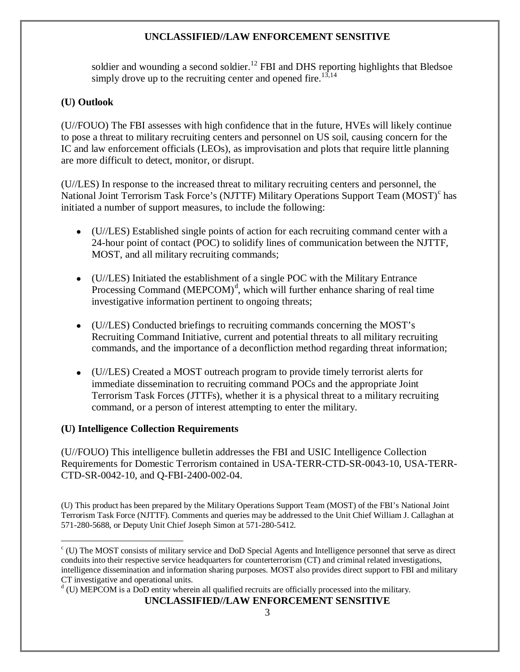soldier and wounding a second soldier.<sup>12</sup> FBI and DHS reporting highlights that Bledsoe simply drove up to the recruiting center and opened fire.<sup>13,14</sup>

## **(U) Outlook**

(U//FOUO) The FBI assesses with high confidence that in the future, HVEs will likely continue to pose a threat to military recruiting centers and personnel on US soil, causing concern for the IC and law enforcement officials (LEOs), as improvisation and plots that require little planning are more difficult to detect, monitor, or disrupt.

(U//LES) In response to the increased threat to military recruiting centers and personnel, the National Joint Terrorism Task For[c](#page-2-0)e's (NJTTF) Military Operations Support Team (MOST)<sup>c</sup> has initiated a number of support measures, to include the following:

- (U//LES) Established single points of action for each recruiting command center with a 24-hour point of contact (POC) to solidify lines of communication between the NJTTF, MOST, and all military recruiting commands;
- (U//LES) Initiated the establishment of a single POC with the Military Entrance Processing Comman[d](#page-2-1) (MEPCOM)<sup>d</sup>, which will further enhance sharing of real time investigative information pertinent to ongoing threats;
- (U//LES) Conducted briefings to recruiting commands concerning the MOST's Recruiting Command Initiative, current and potential threats to all military recruiting commands, and the importance of a deconfliction method regarding threat information;
- (U//LES) Created a MOST outreach program to provide timely terrorist alerts for immediate dissemination to recruiting command POCs and the appropriate Joint Terrorism Task Forces (JTTFs), whether it is a physical threat to a military recruiting command, or a person of interest attempting to enter the military.

### **(U) Intelligence Collection Requirements**

(U//FOUO) This intelligence bulletin addresses the FBI and USIC Intelligence Collection Requirements for Domestic Terrorism contained in USA-TERR-CTD-SR-0043-10, USA-TERR-CTD-SR-0042-10, and Q-FBI-2400-002-04.

(U) This product has been prepared by the Military Operations Support Team (MOST) of the FBI's National Joint Terrorism Task Force (NJTTF). Comments and queries may be addressed to the Unit Chief William J. Callaghan at 571-280-5688, or Deputy Unit Chief Joseph Simon at 571-280-5412.

**UNCLASSIFIED//LAW ENFORCEMENT SENSITIVE**

<span id="page-2-0"></span> $\overline{a}$  $c$  (U) The MOST consists of military service and DoD Special Agents and Intelligence personnel that serve as direct conduits into their respective service headquarters for counterterrorism (CT) and criminal related investigations, intelligence dissemination and information sharing purposes. MOST also provides direct support to FBI and military CT investigative and operational units.

<span id="page-2-1"></span> $d$  (U) MEPCOM is a DoD entity wherein all qualified recruits are officially processed into the military.